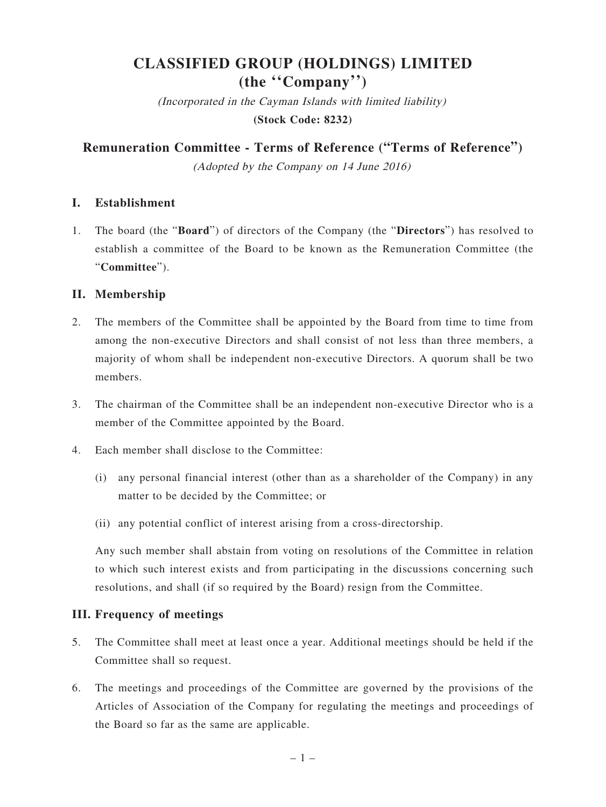# **CLASSIFIED GROUP (HOLDINGS) LIMITED (the ''Company'')**

(Incorporated in the Cayman Islands with limited liability) **(Stock Code: 8232)**

**Remuneration Committee - Terms of Reference ("Terms of Reference")**

(Adopted by the Company on 14 June 2016)

#### **I. Establishment**

1. The board (the "**Board**") of directors of the Company (the "**Directors**") has resolved to establish a committee of the Board to be known as the Remuneration Committee (the "**Committee**").

## **II. Membership**

- 2. The members of the Committee shall be appointed by the Board from time to time from among the non-executive Directors and shall consist of not less than three members, a majority of whom shall be independent non-executive Directors. A quorum shall be two members.
- 3. The chairman of the Committee shall be an independent non-executive Director who is a member of the Committee appointed by the Board.
- 4. Each member shall disclose to the Committee:
	- (i) any personal financial interest (other than as a shareholder of the Company) in any matter to be decided by the Committee; or
	- (ii) any potential conflict of interest arising from a cross-directorship.

Any such member shall abstain from voting on resolutions of the Committee in relation to which such interest exists and from participating in the discussions concerning such resolutions, and shall (if so required by the Board) resign from the Committee.

## **III. Frequency of meetings**

- 5. The Committee shall meet at least once a year. Additional meetings should be held if the Committee shall so request.
- 6. The meetings and proceedings of the Committee are governed by the provisions of the Articles of Association of the Company for regulating the meetings and proceedings of the Board so far as the same are applicable.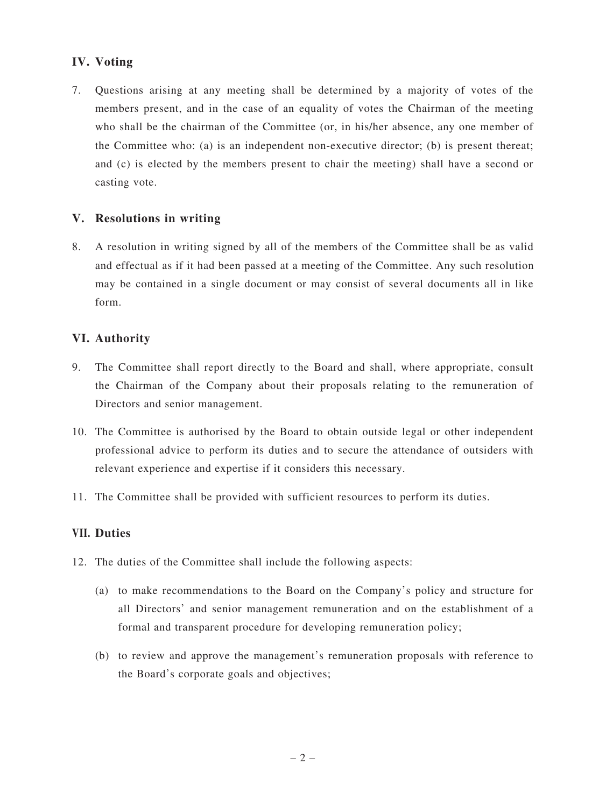# **IV. Voting**

7. Questions arising at any meeting shall be determined by a majority of votes of the members present, and in the case of an equality of votes the Chairman of the meeting who shall be the chairman of the Committee (or, in his/her absence, any one member of the Committee who: (a) is an independent non-executive director; (b) is present thereat; and (c) is elected by the members present to chair the meeting) shall have a second or casting vote.

#### **V. Resolutions in writing**

8. A resolution in writing signed by all of the members of the Committee shall be as valid and effectual as if it had been passed at a meeting of the Committee. Any such resolution may be contained in a single document or may consist of several documents all in like form.

#### **VI. Authority**

- 9. The Committee shall report directly to the Board and shall, where appropriate, consult the Chairman of the Company about their proposals relating to the remuneration of Directors and senior management.
- 10. The Committee is authorised by the Board to obtain outside legal or other independent professional advice to perform its duties and to secure the attendance of outsiders with relevant experience and expertise if it considers this necessary.
- 11. The Committee shall be provided with sufficient resources to perform its duties.

#### **VII. Duties**

- 12. The duties of the Committee shall include the following aspects:
	- (a) to make recommendations to the Board on the Company's policy and structure for all Directors' and senior management remuneration and on the establishment of a formal and transparent procedure for developing remuneration policy;
	- (b) to review and approve the management's remuneration proposals with reference to the Board's corporate goals and objectives;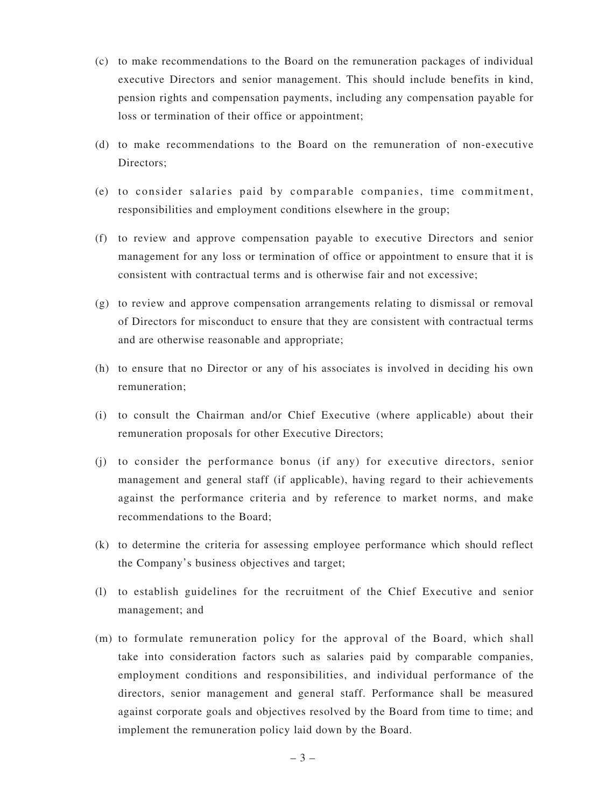- (c) to make recommendations to the Board on the remuneration packages of individual executive Directors and senior management. This should include benefits in kind, pension rights and compensation payments, including any compensation payable for loss or termination of their office or appointment;
- (d) to make recommendations to the Board on the remuneration of non-executive Directors;
- (e) to consider salaries paid by comparable companies, time commitment, responsibilities and employment conditions elsewhere in the group;
- (f) to review and approve compensation payable to executive Directors and senior management for any loss or termination of office or appointment to ensure that it is consistent with contractual terms and is otherwise fair and not excessive;
- (g) to review and approve compensation arrangements relating to dismissal or removal of Directors for misconduct to ensure that they are consistent with contractual terms and are otherwise reasonable and appropriate;
- (h) to ensure that no Director or any of his associates is involved in deciding his own remuneration;
- (i) to consult the Chairman and/or Chief Executive (where applicable) about their remuneration proposals for other Executive Directors;
- (j) to consider the performance bonus (if any) for executive directors, senior management and general staff (if applicable), having regard to their achievements against the performance criteria and by reference to market norms, and make recommendations to the Board;
- (k) to determine the criteria for assessing employee performance which should reflect the Company's business objectives and target;
- (l) to establish guidelines for the recruitment of the Chief Executive and senior management; and
- (m) to formulate remuneration policy for the approval of the Board, which shall take into consideration factors such as salaries paid by comparable companies, employment conditions and responsibilities, and individual performance of the directors, senior management and general staff. Performance shall be measured against corporate goals and objectives resolved by the Board from time to time; and implement the remuneration policy laid down by the Board.